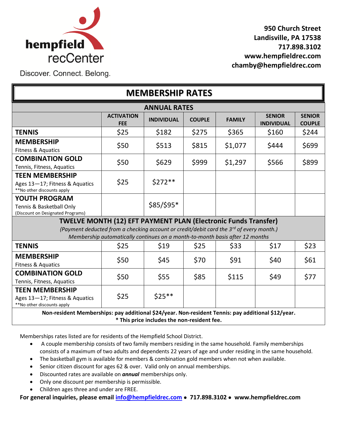

**950 Church Street Landisville, PA 17538 717.898.3102 www.hempfieldrec.com chamby@hempfieldrec.com**

l,

Discover. Connect. Belong.

| <b>MEMBERSHIP RATES</b>                                                                                                                                                                                                                                      |                                 |                   |               |               |                                    |                                |  |
|--------------------------------------------------------------------------------------------------------------------------------------------------------------------------------------------------------------------------------------------------------------|---------------------------------|-------------------|---------------|---------------|------------------------------------|--------------------------------|--|
| <b>ANNUAL RATES</b>                                                                                                                                                                                                                                          |                                 |                   |               |               |                                    |                                |  |
|                                                                                                                                                                                                                                                              | <b>ACTIVATION</b><br><b>FEE</b> | <b>INDIVIDUAL</b> | <b>COUPLE</b> | <b>FAMILY</b> | <b>SENIOR</b><br><b>INDIVIDUAL</b> | <b>SENIOR</b><br><b>COUPLE</b> |  |
| <b>TENNIS</b>                                                                                                                                                                                                                                                | \$25                            | \$182             | \$275         | \$365         | \$160                              | \$244                          |  |
| <b>MEMBERSHIP</b><br>Fitness & Aquatics                                                                                                                                                                                                                      | \$50                            | \$513             | \$815         | \$1,077       | \$444                              | \$699                          |  |
| <b>COMBINATION GOLD</b><br>Tennis, Fitness, Aquatics                                                                                                                                                                                                         | \$50                            | \$629             | \$999         | \$1,297       | \$566                              | \$899                          |  |
| <b>TEEN MEMBERSHIP</b><br>Ages 13-17; Fitness & Aquatics<br>**No other discounts apply                                                                                                                                                                       | \$25                            | \$272 **          |               |               |                                    |                                |  |
| <b>YOUTH PROGRAM</b><br>Tennis & Basketball Only<br>(Discount on Designated Programs)                                                                                                                                                                        |                                 | $$85/$95*$        |               |               |                                    |                                |  |
| <b>TWELVE MONTH (12) EFT PAYMENT PLAN (Electronic Funds Transfer)</b><br>(Payment deducted from a checking account or credit/debit card the 3 <sup>rd</sup> of every month.)<br>Membership automatically continues on a month-to-month basis after 12 months |                                 |                   |               |               |                                    |                                |  |
| <b>TENNIS</b>                                                                                                                                                                                                                                                | \$25                            | \$19              | \$25          | \$33          | \$17                               | \$23                           |  |
| <b>MEMBERSHIP</b><br>Fitness & Aquatics                                                                                                                                                                                                                      | \$50                            | \$45              | \$70          | \$91          | \$40                               | \$61                           |  |
| <b>COMBINATION GOLD</b><br>Tennis, Fitness, Aquatics                                                                                                                                                                                                         | \$50                            | \$55              | \$85          | \$115         | \$49                               | \$77                           |  |
| <b>TEEN MEMBERSHIP</b><br>Ages 13-17; Fitness & Aquatics<br>**No other discounts apply                                                                                                                                                                       | \$25                            | $$25***$          |               |               |                                    |                                |  |
| Non-resident Memberships: pay additional \$24/year. Non-resident Tennis: pay additional \$12/year.<br>* This price includes the non-resident fee.                                                                                                            |                                 |                   |               |               |                                    |                                |  |

Memberships rates listed are for residents of the Hempfield School District.

- A couple membership consists of two family members residing in the same household. Family memberships consists of a maximum of two adults and dependents 22 years of age and under residing in the same household.
- The basketball gym is available for members & combination gold members when not when available.
- Senior citizen discount for ages 62 & over. Valid only on annual memberships.
- Discounted rates are available on *annual* memberships only.
- Only one discount per membership is permissible.
- Children ages three and under are FREE.

**For general inquiries, please email [info@hempfieldrec.com](mailto:info@hempfieldrec.com) 717.898.3102 www.hempfieldrec.com**